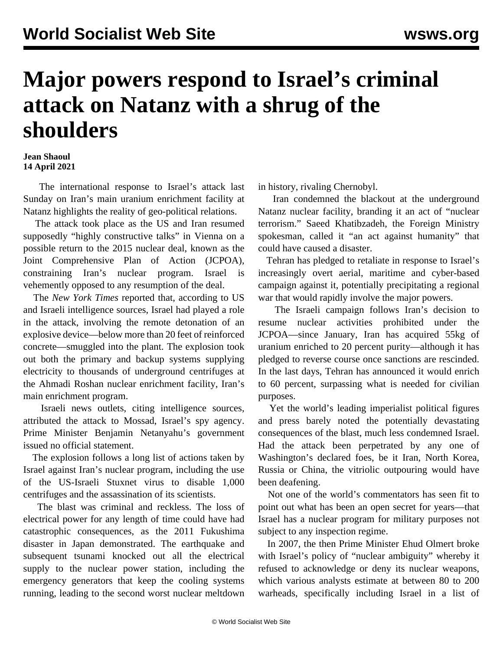## **Major powers respond to Israel's criminal attack on Natanz with a shrug of the shoulders**

## **Jean Shaoul 14 April 2021**

 The international response to Israel's attack last Sunday on Iran's main uranium enrichment facility at Natanz highlights the reality of geo-political relations.

 The attack took place as the US and Iran resumed supposedly "highly constructive talks" in Vienna on a possible return to the 2015 nuclear deal, known as the Joint Comprehensive Plan of Action (JCPOA), constraining Iran's nuclear program. Israel is vehemently opposed to any resumption of the deal.

 The *New York Times* reported that, according to US and Israeli intelligence sources, Israel had played a role in the attack, involving the remote detonation of an explosive device—below more than 20 feet of reinforced concrete—smuggled into the plant. The explosion took out both the primary and backup systems supplying electricity to thousands of underground centrifuges at the Ahmadi Roshan nuclear enrichment facility, Iran's main enrichment program.

 Israeli news outlets, citing intelligence sources, attributed the attack to Mossad, Israel's spy agency. Prime Minister Benjamin Netanyahu's government issued no official statement.

 The explosion follows a long list of actions taken by Israel against Iran's nuclear program, including the use of the US-Israeli Stuxnet virus to disable 1,000 centrifuges and the assassination of its scientists.

 The blast was criminal and reckless. The loss of electrical power for any length of time could have had catastrophic consequences, as the 2011 Fukushima disaster in Japan demonstrated. The earthquake and subsequent tsunami knocked out all the electrical supply to the nuclear power station, including the emergency generators that keep the cooling systems running, leading to the second worst nuclear meltdown in history, rivaling Chernobyl.

 Iran condemned the blackout at the underground Natanz nuclear facility, branding it an act of "nuclear terrorism." Saeed Khatibzadeh, the Foreign Ministry spokesman, called it "an act against humanity" that could have caused a disaster.

 Tehran has pledged to retaliate in response to Israel's increasingly overt aerial, maritime and cyber-based campaign against it, potentially precipitating a regional war that would rapidly involve the major powers.

 The Israeli campaign follows Iran's decision to resume nuclear activities prohibited under the JCPOA—since January, Iran has acquired 55kg of uranium enriched to 20 percent purity—although it has pledged to reverse course once sanctions are rescinded. In the last days, Tehran has announced it would enrich to 60 percent, surpassing what is needed for civilian purposes.

 Yet the world's leading imperialist political figures and press barely noted the potentially devastating consequences of the blast, much less condemned Israel. Had the attack been perpetrated by any one of Washington's declared foes, be it Iran, North Korea, Russia or China, the vitriolic outpouring would have been deafening.

 Not one of the world's commentators has seen fit to point out what has been an open secret for years—that Israel has a nuclear program for military purposes not subject to any inspection regime.

 In 2007, the then Prime Minister Ehud Olmert broke with Israel's policy of "nuclear ambiguity" whereby it refused to acknowledge or deny its nuclear weapons, which various analysts estimate at between 80 to 200 warheads, specifically including Israel in a list of